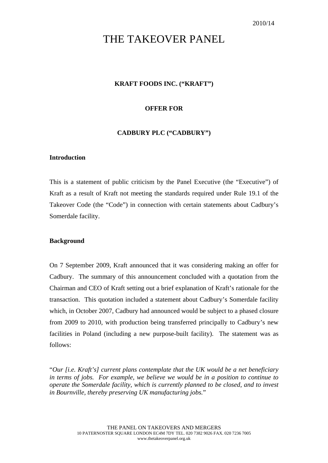# THE TAKEOVER PANEL

# **KRAFT FOODS INC. ("KRAFT")**

## **OFFER FOR**

## **CADBURY PLC ("CADBURY")**

## **Introduction**

This is a statement of public criticism by the Panel Executive (the "Executive") of Kraft as a result of Kraft not meeting the standards required under Rule 19.1 of the Takeover Code (the "Code") in connection with certain statements about Cadbury's Somerdale facility.

## **Background**

On 7 September 2009, Kraft announced that it was considering making an offer for Cadbury. The summary of this announcement concluded with a quotation from the Chairman and CEO of Kraft setting out a brief explanation of Kraft's rationale for the transaction. This quotation included a statement about Cadbury's Somerdale facility which, in October 2007, Cadbury had announced would be subject to a phased closure from 2009 to 2010, with production being transferred principally to Cadbury's new facilities in Poland (including a new purpose-built facility). The statement was as follows:

"*Our [i.e. Kraft's] current plans contemplate that the UK would be a net beneficiary in terms of jobs. For example, we believe we would be in a position to continue to operate the Somerdale facility, which is currently planned to be closed, and to invest in Bournville, thereby preserving UK manufacturing jobs.*"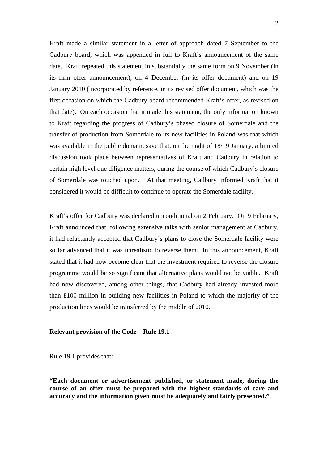Kraft made a similar statement in a letter of approach dated 7 September to the Cadbury board, which was appended in full to Kraft's announcement of the same date. Kraft repeated this statement in substantially the same form on 9 November (in its firm offer announcement), on 4 December (in its offer document) and on 19 January 2010 (incorporated by reference, in its revised offer document, which was the first occasion on which the Cadbury board recommended Kraft's offer, as revised on that date). On each occasion that it made this statement, the only information known to Kraft regarding the progress of Cadbury's phased closure of Somerdale and the transfer of production from Somerdale to its new facilities in Poland was that which was available in the public domain, save that, on the night of 18/19 January, a limited discussion took place between representatives of Kraft and Cadbury in relation to certain high level due diligence matters, during the course of which Cadbury's closure of Somerdale was touched upon. At that meeting, Cadbury informed Kraft that it considered it would be difficult to continue to operate the Somerdale facility.

Kraft's offer for Cadbury was declared unconditional on 2 February. On 9 February, Kraft announced that, following extensive talks with senior management at Cadbury, it had reluctantly accepted that Cadbury's plans to close the Somerdale facility were so far advanced that it was unrealistic to reverse them. In this announcement, Kraft stated that it had now become clear that the investment required to reverse the closure programme would be so significant that alternative plans would not be viable. Kraft had now discovered, among other things, that Cadbury had already invested more than £100 million in building new facilities in Poland to which the majority of the production lines would be transferred by the middle of 2010.

#### **Relevant provision of the Code – Rule 19.1**

Rule 19.1 provides that:

**"Each document or advertisement published, or statement made, during the course of an offer must be prepared with the highest standards of care and accuracy and the information given must be adequately and fairly presented."**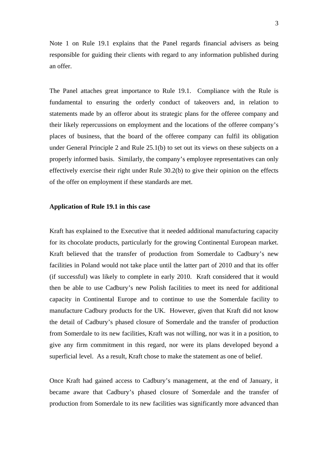Note 1 on Rule 19.1 explains that the Panel regards financial advisers as being responsible for guiding their clients with regard to any information published during an offer.

The Panel attaches great importance to Rule 19.1. Compliance with the Rule is fundamental to ensuring the orderly conduct of takeovers and, in relation to statements made by an offeror about its strategic plans for the offeree company and their likely repercussions on employment and the locations of the offeree company's places of business, that the board of the offeree company can fulfil its obligation under General Principle 2 and Rule 25.1(b) to set out its views on these subjects on a properly informed basis. Similarly, the company's employee representatives can only effectively exercise their right under Rule 30.2(b) to give their opinion on the effects of the offer on employment if these standards are met.

#### **Application of Rule 19.1 in this case**

Kraft has explained to the Executive that it needed additional manufacturing capacity for its chocolate products, particularly for the growing Continental European market. Kraft believed that the transfer of production from Somerdale to Cadbury's new facilities in Poland would not take place until the latter part of 2010 and that its offer (if successful) was likely to complete in early 2010. Kraft considered that it would then be able to use Cadbury's new Polish facilities to meet its need for additional capacity in Continental Europe and to continue to use the Somerdale facility to manufacture Cadbury products for the UK. However, given that Kraft did not know the detail of Cadbury's phased closure of Somerdale and the transfer of production from Somerdale to its new facilities, Kraft was not willing, nor was it in a position, to give any firm commitment in this regard, nor were its plans developed beyond a superficial level. As a result, Kraft chose to make the statement as one of belief.

Once Kraft had gained access to Cadbury's management, at the end of January, it became aware that Cadbury's phased closure of Somerdale and the transfer of production from Somerdale to its new facilities was significantly more advanced than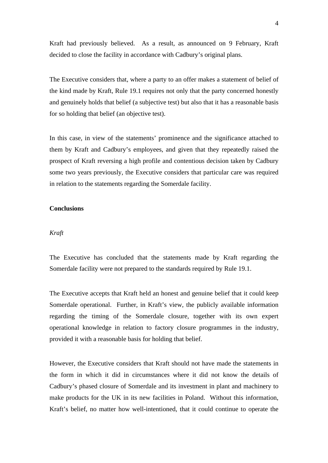Kraft had previously believed. As a result, as announced on 9 February, Kraft decided to close the facility in accordance with Cadbury's original plans.

The Executive considers that, where a party to an offer makes a statement of belief of the kind made by Kraft, Rule 19.1 requires not only that the party concerned honestly and genuinely holds that belief (a subjective test) but also that it has a reasonable basis for so holding that belief (an objective test).

In this case, in view of the statements' prominence and the significance attached to them by Kraft and Cadbury's employees, and given that they repeatedly raised the prospect of Kraft reversing a high profile and contentious decision taken by Cadbury some two years previously, the Executive considers that particular care was required in relation to the statements regarding the Somerdale facility.

## **Conclusions**

#### *Kraft*

The Executive has concluded that the statements made by Kraft regarding the Somerdale facility were not prepared to the standards required by Rule 19.1.

The Executive accepts that Kraft held an honest and genuine belief that it could keep Somerdale operational. Further, in Kraft's view, the publicly available information regarding the timing of the Somerdale closure, together with its own expert operational knowledge in relation to factory closure programmes in the industry, provided it with a reasonable basis for holding that belief.

However, the Executive considers that Kraft should not have made the statements in the form in which it did in circumstances where it did not know the details of Cadbury's phased closure of Somerdale and its investment in plant and machinery to make products for the UK in its new facilities in Poland. Without this information, Kraft's belief, no matter how well-intentioned, that it could continue to operate the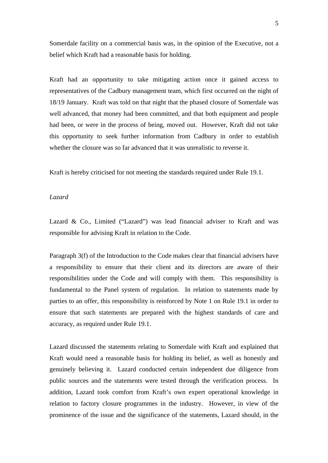Somerdale facility on a commercial basis was, in the opinion of the Executive, not a belief which Kraft had a reasonable basis for holding.

Kraft had an opportunity to take mitigating action once it gained access to representatives of the Cadbury management team, which first occurred on the night of 18/19 January. Kraft was told on that night that the phased closure of Somerdale was well advanced, that money had been committed, and that both equipment and people had been, or were in the process of being, moved out. However, Kraft did not take this opportunity to seek further information from Cadbury in order to establish whether the closure was so far advanced that it was unrealistic to reverse it.

Kraft is hereby criticised for not meeting the standards required under Rule 19.1.

## *Lazard*

Lazard & Co., Limited ("Lazard") was lead financial adviser to Kraft and was responsible for advising Kraft in relation to the Code.

Paragraph 3(f) of the Introduction to the Code makes clear that financial advisers have a responsibility to ensure that their client and its directors are aware of their responsibilities under the Code and will comply with them. This responsibility is fundamental to the Panel system of regulation. In relation to statements made by parties to an offer, this responsibility is reinforced by Note 1 on Rule 19.1 in order to ensure that such statements are prepared with the highest standards of care and accuracy, as required under Rule 19.1.

Lazard discussed the statements relating to Somerdale with Kraft and explained that Kraft would need a reasonable basis for holding its belief, as well as honestly and genuinely believing it. Lazard conducted certain independent due diligence from public sources and the statements were tested through the verification process. In addition, Lazard took comfort from Kraft's own expert operational knowledge in relation to factory closure programmes in the industry. However, in view of the prominence of the issue and the significance of the statements, Lazard should, in the